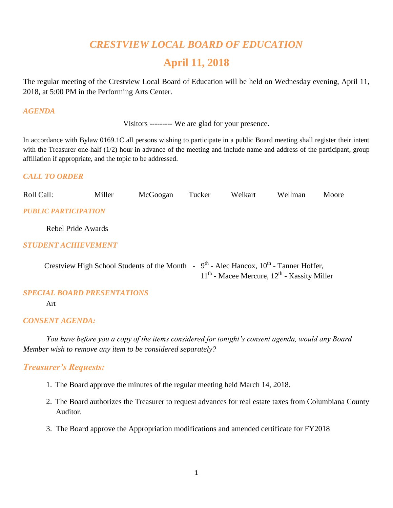# *CRESTVIEW LOCAL BOARD OF EDUCATION*

# **April 11, 2018**

The regular meeting of the Crestview Local Board of Education will be held on Wednesday evening, April 11, 2018, at 5:00 PM in the Performing Arts Center.

#### *AGENDA*

Visitors --------- We are glad for your presence.

In accordance with Bylaw 0169.1C all persons wishing to participate in a public Board meeting shall register their intent with the Treasurer one-half (1/2) hour in advance of the meeting and include name and address of the participant, group affiliation if appropriate, and the topic to be addressed.

#### *CALL TO ORDER*

| Roll Call:           | Miller             | McGoogan                                                                                   | Tucker | Weikart                                         | Wellman | Moore |
|----------------------|--------------------|--------------------------------------------------------------------------------------------|--------|-------------------------------------------------|---------|-------|
| PUBLIC PARTICIPATION |                    |                                                                                            |        |                                                 |         |       |
|                      | Rebel Pride Awards |                                                                                            |        |                                                 |         |       |
| STUDENT ACHIEVEMENT  |                    |                                                                                            |        |                                                 |         |       |
|                      |                    | Crestview High School Students of the Month - $9th$ - Alec Hancox, $10th$ - Tanner Hoffer, |        | $11th$ - Macee Mercure, $12th$ - Kassity Miller |         |       |

#### *SPECIAL BOARD PRESENTATIONS*

Art

#### *CONSENT AGENDA:*

*You have before you a copy of the items considered for tonight's consent agenda, would any Board Member wish to remove any item to be considered separately?*

### *Treasurer's Requests:*

- 1. The Board approve the minutes of the regular meeting held March 14, 2018.
- 2. The Board authorizes the Treasurer to request advances for real estate taxes from Columbiana County Auditor.
- 3. The Board approve the Appropriation modifications and amended certificate for FY2018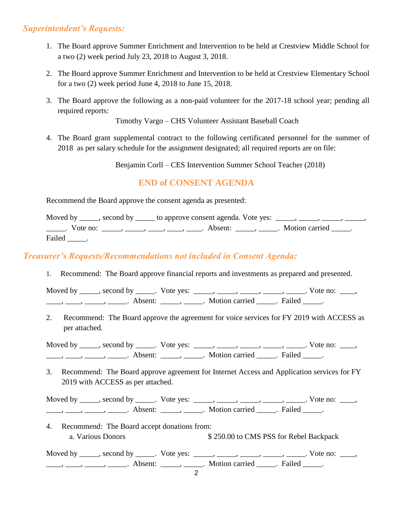# *Superintendent's Requests:*

- 1. The Board approve Summer Enrichment and Intervention to be held at Crestview Middle School for a two (2) week period July 23, 2018 to August 3, 2018.
- 2. The Board approve Summer Enrichment and Intervention to be held at Crestview Elementary School for a two (2) week period June 4, 2018 to June 15, 2018.
- 3. The Board approve the following as a non-paid volunteer for the 2017-18 school year; pending all required reports:

Timothy Vargo – CHS Volunteer Assistant Baseball Coach

4. The Board grant supplemental contract to the following certificated personnel for the summer of 2018 as per salary schedule for the assignment designated; all required reports are on file:

Benjamin Corll – CES Intervention Summer School Teacher (2018)

# **END of CONSENT AGENDA**

Recommend the Board approve the consent agenda as presented:

Moved by \_\_\_\_, second by \_\_\_\_\_ to approve consent agenda. Vote yes:  $\_$ <sub>\_\_\_\_</sub>, \_\_\_\_, \_\_\_\_, \_\_\_\_\_, \_\_\_\_\_\_. Vote no: \_\_\_\_\_, \_\_\_\_\_, \_\_\_\_, \_\_\_\_, \_\_\_\_\_. Absent: \_\_\_\_\_\_, \_\_\_\_\_. Motion carried \_\_\_\_\_. Failed .

# *Treasurer's Requests/Recommendations not included in Consent Agenda:*

1. Recommend: The Board approve financial reports and investments as prepared and presented.

Moved by \_\_\_\_\_, second by \_\_\_\_\_. Vote yes: \_\_\_\_\_, \_\_\_\_\_, \_\_\_\_\_, \_\_\_\_\_, \_\_\_\_\_. Vote no: \_\_\_\_, ——, ——, ——, Absent: \_\_\_\_, \_\_\_\_. Motion carried \_\_\_\_. Failed \_\_\_\_.

2. Recommend: The Board approve the agreement for voice services for FY 2019 with ACCESS as per attached.

Moved by \_\_\_\_\_, second by \_\_\_\_\_. Vote yes: \_\_\_\_\_, \_\_\_\_\_, \_\_\_\_\_, \_\_\_\_\_, \_\_\_\_\_. Vote no: \_\_\_\_, \_\_\_\_, \_\_\_\_, \_\_\_\_\_, Absent: \_\_\_\_\_, \_\_\_\_\_. Motion carried \_\_\_\_\_. Failed \_\_\_\_\_.

3. Recommend: The Board approve agreement for Internet Access and Application services for FY 2019 with ACCESS as per attached.

Moved by \_\_\_\_\_, second by \_\_\_\_\_. Vote yes: \_\_\_\_\_, \_\_\_\_\_, \_\_\_\_\_, \_\_\_\_\_, \_\_\_\_\_. Vote no: \_\_\_\_, ——, ——, ——, ———, Absent: \_\_\_\_, \_\_\_\_\_. Motion carried \_\_\_\_\_. Failed \_\_\_\_.

4. Recommend: The Board accept donations from: a. Various Donors \$ 250.00 to CMS PSS for Rebel Backpack

Moved by \_\_\_\_\_, second by \_\_\_\_\_. Vote yes: \_\_\_\_\_, \_\_\_\_\_, \_\_\_\_\_, \_\_\_\_\_, \_\_\_\_\_. Vote no: \_\_\_\_, \_\_\_\_, \_\_\_\_, \_\_\_\_\_, Absent: \_\_\_\_, \_\_\_\_\_. Motion carried \_\_\_\_\_. Failed \_\_\_\_.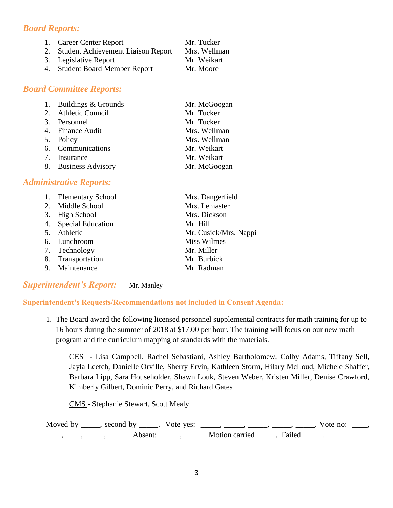# *Board Reports:*

| 1. Career Center Report               | Mr. Tucker   |
|---------------------------------------|--------------|
| 2. Student Achievement Liaison Report | Mrs. Wellman |
| 3. Legislative Report                 | Mr. Weikart  |
| 4. Student Board Member Report        | Mr. Moore    |

## *Board Committee Reports:*

| 1. Buildings & Grounds | Mr. McGoogan |
|------------------------|--------------|
| 2. Athletic Council    | Mr. Tucker   |
| 3. Personnel           | Mr. Tucker   |
| 4. Finance Audit       | Mrs. Wellman |
| 5. Policy              | Mrs. Wellman |
| 6. Communications      | Mr. Weikart  |
| 7. Insurance           | Mr. Weikart  |
| 8. Business Advisory   | Mr. McGoogan |

### *Administrative Reports:*

| 1. Elementary School | Mrs. Dangerfield      |
|----------------------|-----------------------|
| 2. Middle School     | Mrs. Lemaster         |
| 3. High School       | Mrs. Dickson          |
| 4. Special Education | Mr. Hill              |
| 5. Athletic          | Mr. Cusick/Mrs. Nappi |
| 6. Lunchroom         | <b>Miss Wilmes</b>    |
| 7. Technology        | Mr. Miller            |
| 8. Transportation    | Mr. Burbick           |
| 9. Maintenance       | Mr. Radman            |
|                      |                       |

### *Superintendent's Report:* Mr. Manley

### **Superintendent's Requests/Recommendations not included in Consent Agenda:**

1. The Board award the following licensed personnel supplemental contracts for math training for up to 16 hours during the summer of 2018 at \$17.00 per hour. The training will focus on our new math program and the curriculum mapping of standards with the materials.

CES - Lisa Campbell, Rachel Sebastiani, Ashley Bartholomew, Colby Adams, Tiffany Sell, Jayla Leetch, Danielle Orville, Sherry Ervin, Kathleen Storm, Hilary McLoud, Michele Shaffer, Barbara Lipp, Sara Householder, Shawn Louk, Steven Weber, Kristen Miller, Denise Crawford, Kimberly Gilbert, Dominic Perry, and Richard Gates

CMS - Stephanie Stewart, Scott Mealy

Moved by \_\_\_\_\_, second by \_\_\_\_\_. Vote yes: \_\_\_\_\_, \_\_\_\_\_, \_\_\_\_\_, \_\_\_\_\_, \_\_\_\_\_. Vote no: \_\_\_\_, ——, ——, ——, ———, Absent: \_\_\_\_, \_\_\_\_\_. Motion carried \_\_\_\_\_. Failed \_\_\_\_\_.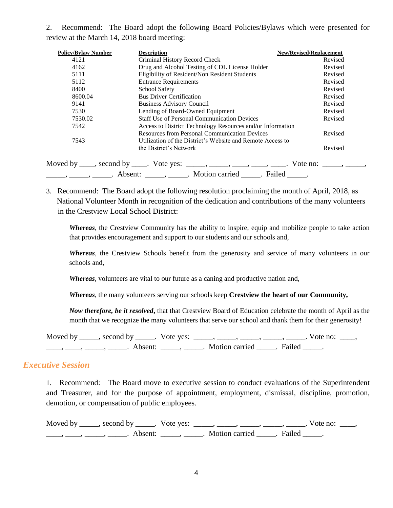2. Recommend: The Board adopt the following Board Policies/Bylaws which were presented for review at the March 14, 2018 board meeting:

| <b>Policy/Bylaw Number</b> | <b>Description</b>                                         | <b>New/Revised/Replacement</b> |
|----------------------------|------------------------------------------------------------|--------------------------------|
| 4121                       | Criminal History Record Check                              | Revised                        |
| 4162                       | Drug and Alcohol Testing of CDL License Holder             | Revised                        |
| 5111                       | Eligibility of Resident/Non Resident Students              | Revised                        |
| 5112                       | <b>Entrance Requirements</b>                               | Revised                        |
| 8400                       | <b>School Safety</b>                                       | Revised                        |
| 8600.04                    | <b>Bus Driver Certification</b>                            | Revised                        |
| 9141                       | <b>Business Advisory Council</b>                           | Revised                        |
| 7530                       | Lending of Board-Owned Equipment                           | Revised                        |
| 7530.02                    | <b>Staff Use of Personal Communication Devices</b>         | Revised                        |
| 7542                       | Access to District Technology Resources and/or Information |                                |
|                            | <b>Resources from Personal Communication Devices</b>       | Revised                        |
| 7543                       | Utilization of the District's Website and Remote Access to |                                |
|                            | the District's Network                                     | Revised                        |

3. Recommend: The Board adopt the following resolution proclaiming the month of April, 2018, as National Volunteer Month in recognition of the dedication and contributions of the many volunteers in the Crestview Local School District:

*Whereas*, the Crestview Community has the ability to inspire, equip and mobilize people to take action that provides encouragement and support to our students and our schools and,

*Whereas*, the Crestview Schools benefit from the generosity and service of many volunteers in our schools and,

*Whereas*, volunteers are vital to our future as a caning and productive nation and,

*Whereas*, the many volunteers serving our schools keep **Crestview the heart of our Community,**

*Now therefore, be it resolved***,** that that Crestview Board of Education celebrate the month of April as the month that we recognize the many volunteers that serve our school and thank them for their generosity!

Moved by \_\_\_\_\_, second by \_\_\_\_\_. Vote yes: \_\_\_\_\_, \_\_\_\_\_, \_\_\_\_\_, \_\_\_\_\_, \_\_\_\_\_. Vote no: \_\_\_\_, \_\_\_\_\_, \_\_\_\_\_, \_\_\_\_\_\_\_. Absent: \_\_\_\_\_\_, \_\_\_\_\_\_. Motion carried \_\_\_\_\_. Failed \_\_\_\_\_.

### *Executive Session*

1. Recommend: The Board move to executive session to conduct evaluations of the Superintendent and Treasurer, and for the purpose of appointment, employment, dismissal, discipline, promotion, demotion, or compensation of public employees.

Moved by \_\_\_\_\_, second by \_\_\_\_\_. Vote yes: \_\_\_\_\_, \_\_\_\_\_, \_\_\_\_\_, \_\_\_\_\_, \_\_\_\_\_. Vote no: \_\_\_\_, \_\_\_\_, \_\_\_\_, \_\_\_\_\_, Absent: \_\_\_\_\_, \_\_\_\_\_. Motion carried \_\_\_\_\_. Failed \_\_\_\_\_.